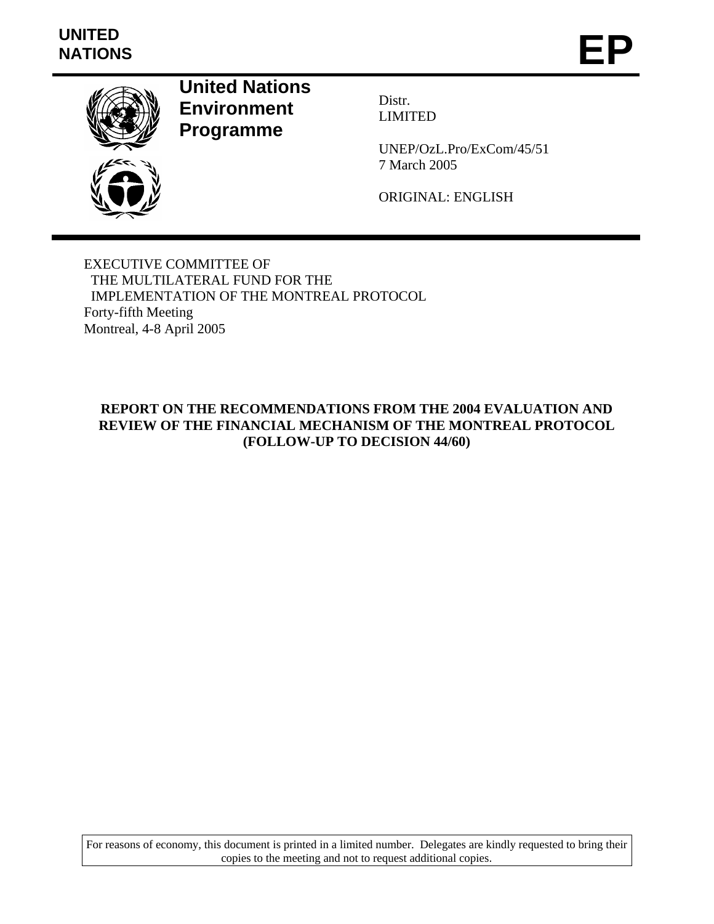# **UNITED**  UNITED<br>NATIONS **EP**



**United Nations Environment Programme** 

Distr. LIMITED

UNEP/OzL.Pro/ExCom/45/51 7 March 2005

ORIGINAL: ENGLISH

EXECUTIVE COMMITTEE OF THE MULTILATERAL FUND FOR THE IMPLEMENTATION OF THE MONTREAL PROTOCOL Forty-fifth Meeting Montreal, 4-8 April 2005

### **REPORT ON THE RECOMMENDATIONS FROM THE 2004 EVALUATION AND REVIEW OF THE FINANCIAL MECHANISM OF THE MONTREAL PROTOCOL (FOLLOW-UP TO DECISION 44/60)**

For reasons of economy, this document is printed in a limited number. Delegates are kindly requested to bring their copies to the meeting and not to request additional copies.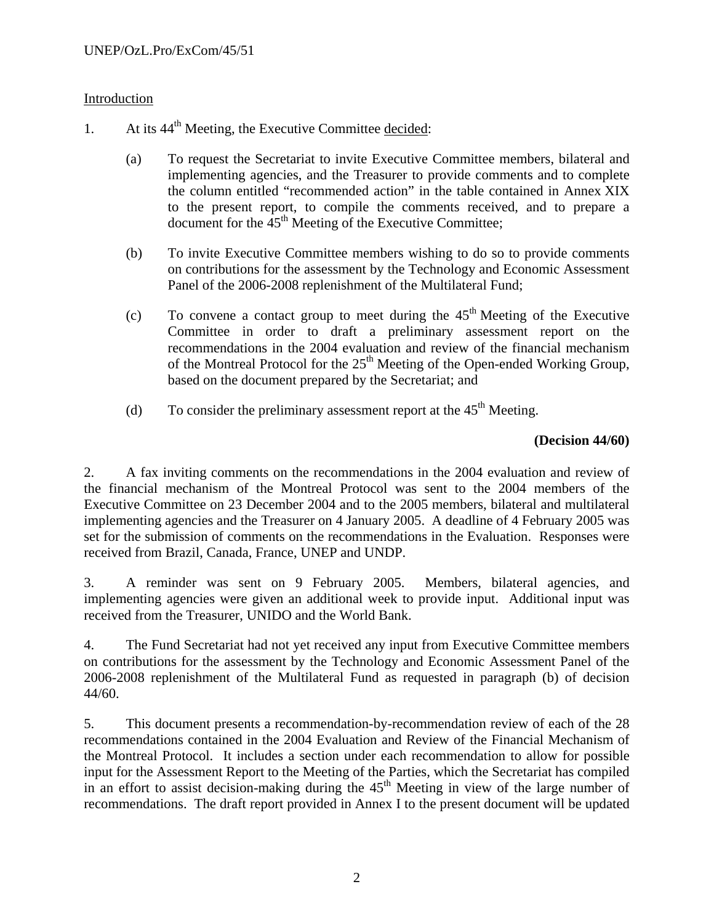### Introduction

- 1. At its  $44<sup>th</sup>$  Meeting, the Executive Committee decided:
	- (a) To request the Secretariat to invite Executive Committee members, bilateral and implementing agencies, and the Treasurer to provide comments and to complete the column entitled "recommended action" in the table contained in Annex XIX to the present report, to compile the comments received, and to prepare a document for the  $45<sup>th</sup>$  Meeting of the Executive Committee;
	- (b) To invite Executive Committee members wishing to do so to provide comments on contributions for the assessment by the Technology and Economic Assessment Panel of the 2006-2008 replenishment of the Multilateral Fund;
	- (c) To convene a contact group to meet during the  $45<sup>th</sup>$  Meeting of the Executive Committee in order to draft a preliminary assessment report on the recommendations in the 2004 evaluation and review of the financial mechanism of the Montreal Protocol for the  $25<sup>th</sup>$  Meeting of the Open-ended Working Group, based on the document prepared by the Secretariat; and
	- (d) To consider the preliminary assessment report at the  $45<sup>th</sup>$  Meeting.

### **(Decision 44/60)**

2. A fax inviting comments on the recommendations in the 2004 evaluation and review of the financial mechanism of the Montreal Protocol was sent to the 2004 members of the Executive Committee on 23 December 2004 and to the 2005 members, bilateral and multilateral implementing agencies and the Treasurer on 4 January 2005. A deadline of 4 February 2005 was set for the submission of comments on the recommendations in the Evaluation. Responses were received from Brazil, Canada, France, UNEP and UNDP.

3. A reminder was sent on 9 February 2005. Members, bilateral agencies, and implementing agencies were given an additional week to provide input. Additional input was received from the Treasurer, UNIDO and the World Bank.

4. The Fund Secretariat had not yet received any input from Executive Committee members on contributions for the assessment by the Technology and Economic Assessment Panel of the 2006-2008 replenishment of the Multilateral Fund as requested in paragraph (b) of decision 44/60.

5. This document presents a recommendation-by-recommendation review of each of the 28 recommendations contained in the 2004 Evaluation and Review of the Financial Mechanism of the Montreal Protocol. It includes a section under each recommendation to allow for possible input for the Assessment Report to the Meeting of the Parties, which the Secretariat has compiled in an effort to assist decision-making during the  $45<sup>th</sup>$  Meeting in view of the large number of recommendations. The draft report provided in Annex I to the present document will be updated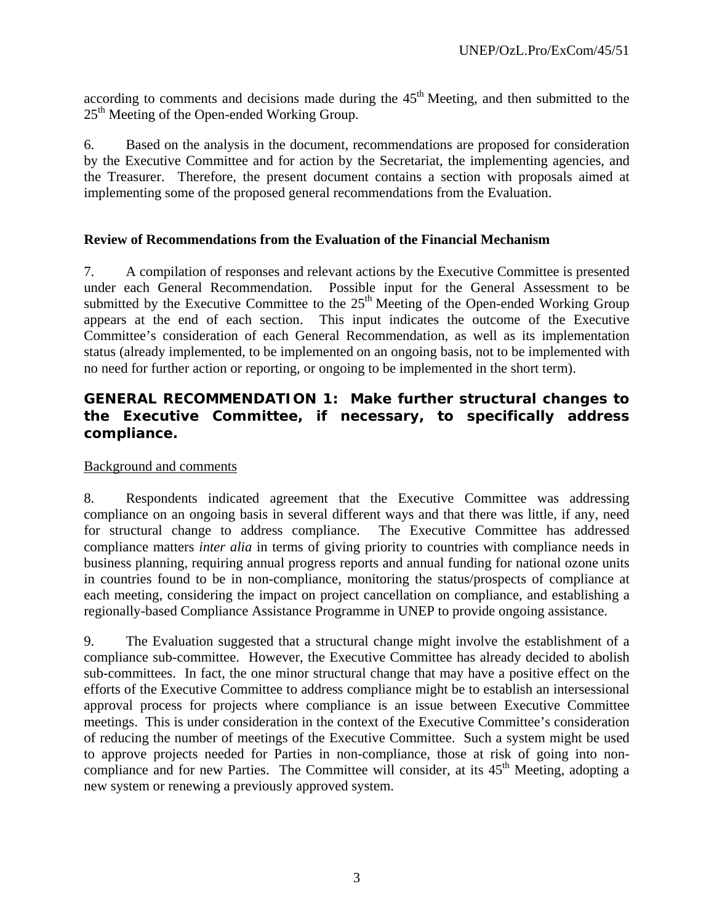according to comments and decisions made during the  $45<sup>th</sup>$  Meeting, and then submitted to the  $25<sup>th</sup>$  Meeting of the Open-ended Working Group.

6. Based on the analysis in the document, recommendations are proposed for consideration by the Executive Committee and for action by the Secretariat, the implementing agencies, and the Treasurer. Therefore, the present document contains a section with proposals aimed at implementing some of the proposed general recommendations from the Evaluation.

#### **Review of Recommendations from the Evaluation of the Financial Mechanism**

7. A compilation of responses and relevant actions by the Executive Committee is presented under each General Recommendation. Possible input for the General Assessment to be submitted by the Executive Committee to the  $25<sup>th</sup>$  Meeting of the Open-ended Working Group appears at the end of each section. This input indicates the outcome of the Executive Committee's consideration of each General Recommendation, as well as its implementation status (already implemented, to be implemented on an ongoing basis, not to be implemented with no need for further action or reporting, or ongoing to be implemented in the short term).

### **GENERAL RECOMMENDATION 1: Make further structural changes to the Executive Committee, if necessary, to specifically address compliance.**

#### Background and comments

8. Respondents indicated agreement that the Executive Committee was addressing compliance on an ongoing basis in several different ways and that there was little, if any, need for structural change to address compliance. The Executive Committee has addressed compliance matters *inter alia* in terms of giving priority to countries with compliance needs in business planning, requiring annual progress reports and annual funding for national ozone units in countries found to be in non-compliance, monitoring the status/prospects of compliance at each meeting, considering the impact on project cancellation on compliance, and establishing a regionally-based Compliance Assistance Programme in UNEP to provide ongoing assistance.

9. The Evaluation suggested that a structural change might involve the establishment of a compliance sub-committee. However, the Executive Committee has already decided to abolish sub-committees. In fact, the one minor structural change that may have a positive effect on the efforts of the Executive Committee to address compliance might be to establish an intersessional approval process for projects where compliance is an issue between Executive Committee meetings. This is under consideration in the context of the Executive Committee's consideration of reducing the number of meetings of the Executive Committee. Such a system might be used to approve projects needed for Parties in non-compliance, those at risk of going into noncompliance and for new Parties. The Committee will consider, at its 45<sup>th</sup> Meeting, adopting a new system or renewing a previously approved system.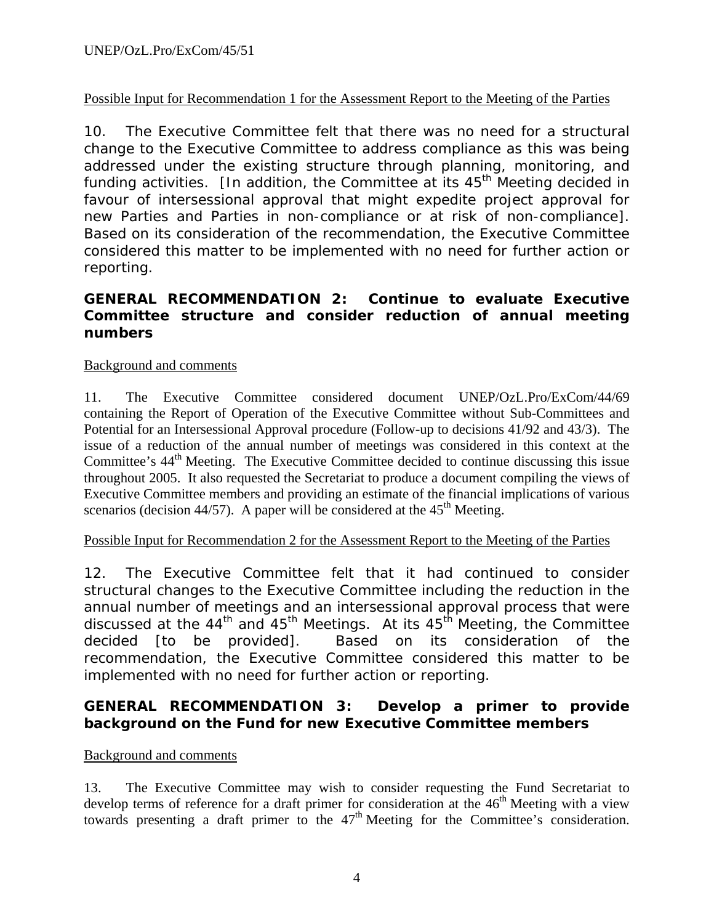### Possible Input for Recommendation 1 for the Assessment Report to the Meeting of the Parties

10. The Executive Committee felt that there was no need for a structural change to the Executive Committee to address compliance as this was being addressed under the existing structure through planning, monitoring, and funding activities.  $\Box$  and andition, the Committee at its  $45<sup>th</sup>$  Meeting decided in favour of intersessional approval that might expedite project approval for new Parties and Parties in non-compliance or at risk of non-compliance]. Based on its consideration of the recommendation, the Executive Committee considered this matter to be implemented with no need for further action or reporting.

# **GENERAL RECOMMENDATION 2: Continue to evaluate Executive Committee structure and consider reduction of annual meeting numbers**

### Background and comments

11. The Executive Committee considered document UNEP/OzL.Pro/ExCom/44/69 containing the Report of Operation of the Executive Committee without Sub-Committees and Potential for an Intersessional Approval procedure (Follow-up to decisions 41/92 and 43/3). The issue of a reduction of the annual number of meetings was considered in this context at the Committee's  $44<sup>th</sup>$  Meeting. The Executive Committee decided to continue discussing this issue throughout 2005. It also requested the Secretariat to produce a document compiling the views of Executive Committee members and providing an estimate of the financial implications of various scenarios (decision 44/57). A paper will be considered at the  $45<sup>th</sup>$  Meeting.

### Possible Input for Recommendation 2 for the Assessment Report to the Meeting of the Parties

12. The Executive Committee felt that it had continued to consider structural changes to the Executive Committee including the reduction in the annual number of meetings and an intersessional approval process that were discussed at the  $44<sup>th</sup>$  and  $45<sup>th</sup>$  Meetings. At its  $45<sup>th</sup>$  Meeting, the Committee decided [to be provided]. Based on its consideration of the recommendation, the Executive Committee considered this matter to be implemented with no need for further action or reporting.

### **GENERAL RECOMMENDATION 3: Develop a primer to provide background on the Fund for new Executive Committee members**

### Background and comments

13. The Executive Committee may wish to consider requesting the Fund Secretariat to develop terms of reference for a draft primer for consideration at the  $46<sup>th</sup>$  Meeting with a view towards presenting a draft primer to the  $47<sup>th</sup>$  Meeting for the Committee's consideration.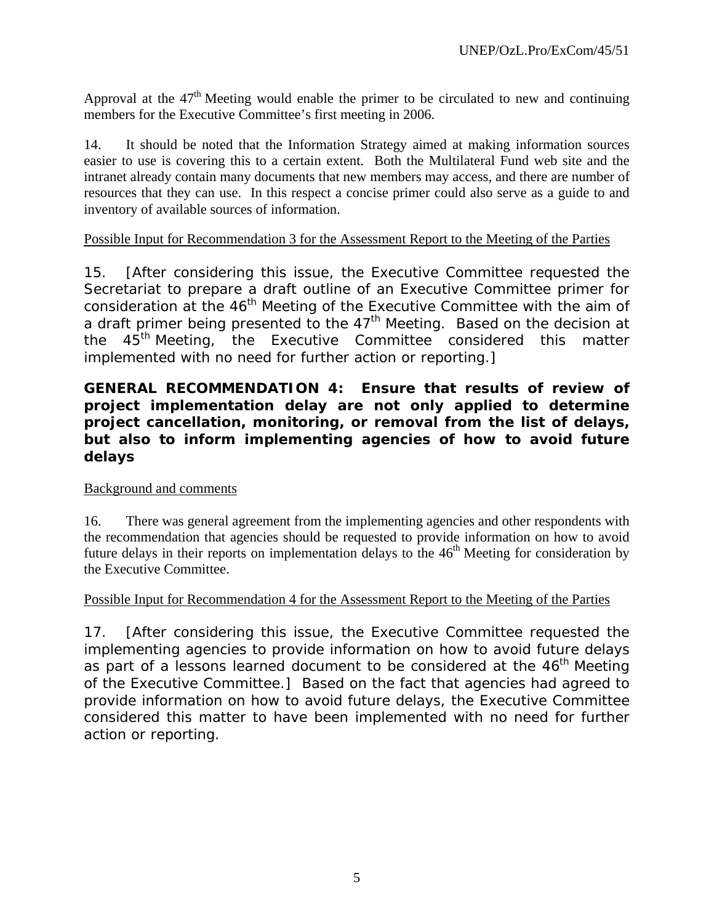Approval at the  $47<sup>th</sup>$  Meeting would enable the primer to be circulated to new and continuing members for the Executive Committee's first meeting in 2006.

14. It should be noted that the Information Strategy aimed at making information sources easier to use is covering this to a certain extent. Both the Multilateral Fund web site and the intranet already contain many documents that new members may access, and there are number of resources that they can use. In this respect a concise primer could also serve as a guide to and inventory of available sources of information.

#### Possible Input for Recommendation 3 for the Assessment Report to the Meeting of the Parties

15. [After considering this issue, the Executive Committee requested the Secretariat to prepare a draft outline of an Executive Committee primer for consideration at the 46<sup>th</sup> Meeting of the Executive Committee with the aim of a draft primer being presented to the 47<sup>th</sup> Meeting. Based on the decision at the 45<sup>th</sup> Meeting, the Executive Committee considered this matter implemented with no need for further action or reporting.]

### **GENERAL RECOMMENDATION 4: Ensure that results of review of project implementation delay are not only applied to determine project cancellation, monitoring, or removal from the list of delays, but also to inform implementing agencies of how to avoid future delays**

### Background and comments

16. There was general agreement from the implementing agencies and other respondents with the recommendation that agencies should be requested to provide information on how to avoid future delays in their reports on implementation delays to the  $46<sup>th</sup>$  Meeting for consideration by the Executive Committee.

#### Possible Input for Recommendation 4 for the Assessment Report to the Meeting of the Parties

17. [After considering this issue, the Executive Committee requested the implementing agencies to provide information on how to avoid future delays as part of a lessons learned document to be considered at the 46<sup>th</sup> Meeting of the Executive Committee.] Based on the fact that agencies had agreed to provide information on how to avoid future delays, the Executive Committee considered this matter to have been implemented with no need for further action or reporting.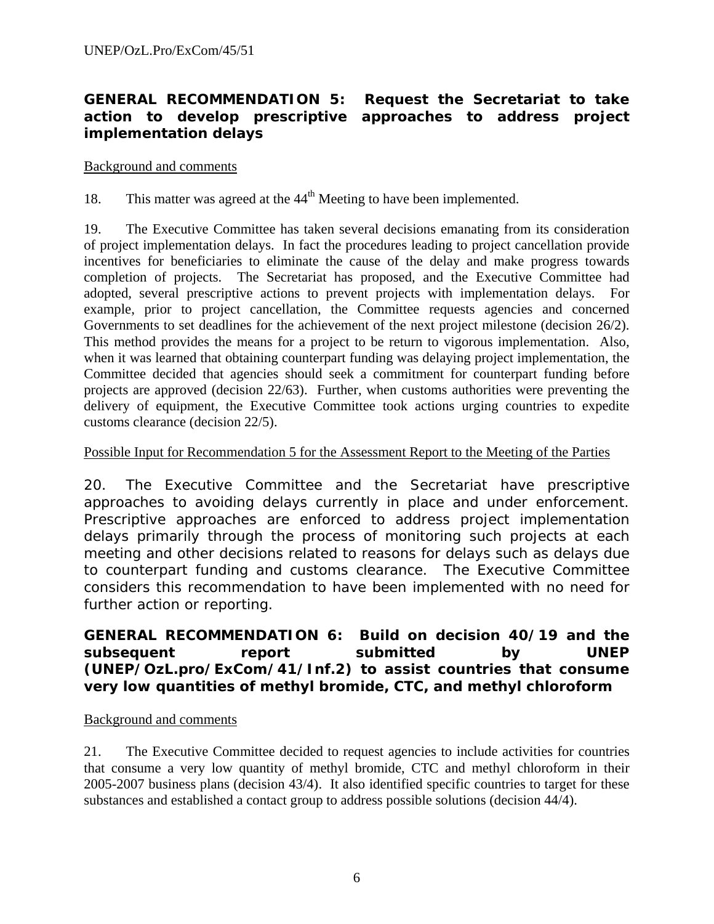### **GENERAL RECOMMENDATION 5: Request the Secretariat to take action to develop prescriptive approaches to address project implementation delays**

#### Background and comments

18. This matter was agreed at the  $44<sup>th</sup>$  Meeting to have been implemented.

19. The Executive Committee has taken several decisions emanating from its consideration of project implementation delays. In fact the procedures leading to project cancellation provide incentives for beneficiaries to eliminate the cause of the delay and make progress towards completion of projects. The Secretariat has proposed, and the Executive Committee had adopted, several prescriptive actions to prevent projects with implementation delays. For example, prior to project cancellation, the Committee requests agencies and concerned Governments to set deadlines for the achievement of the next project milestone (decision 26/2). This method provides the means for a project to be return to vigorous implementation. Also, when it was learned that obtaining counterpart funding was delaying project implementation, the Committee decided that agencies should seek a commitment for counterpart funding before projects are approved (decision 22/63). Further, when customs authorities were preventing the delivery of equipment, the Executive Committee took actions urging countries to expedite customs clearance (decision 22/5).

#### Possible Input for Recommendation 5 for the Assessment Report to the Meeting of the Parties

20. The Executive Committee and the Secretariat have prescriptive approaches to avoiding delays currently in place and under enforcement. Prescriptive approaches are enforced to address project implementation delays primarily through the process of monitoring such projects at each meeting and other decisions related to reasons for delays such as delays due to counterpart funding and customs clearance. The Executive Committee considers this recommendation to have been implemented with no need for further action or reporting.

### **GENERAL RECOMMENDATION 6: Build on decision 40/19 and the subsequent report submitted by UNEP (UNEP/OzL.pro/ExCom/41/Inf.2) to assist countries that consume very low quantities of methyl bromide, CTC, and methyl chloroform**

### Background and comments

21. The Executive Committee decided to request agencies to include activities for countries that consume a very low quantity of methyl bromide, CTC and methyl chloroform in their 2005-2007 business plans (decision 43/4). It also identified specific countries to target for these substances and established a contact group to address possible solutions (decision 44/4).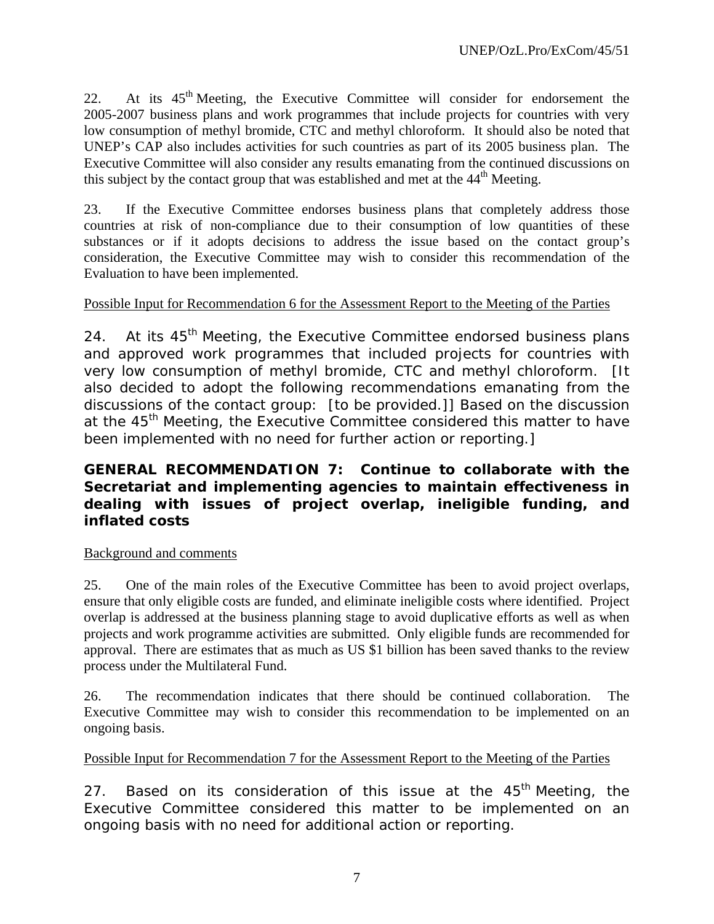22. At its 45th Meeting, the Executive Committee will consider for endorsement the 2005-2007 business plans and work programmes that include projects for countries with very low consumption of methyl bromide, CTC and methyl chloroform. It should also be noted that UNEP's CAP also includes activities for such countries as part of its 2005 business plan. The Executive Committee will also consider any results emanating from the continued discussions on this subject by the contact group that was established and met at the  $44<sup>th</sup>$  Meeting.

23. If the Executive Committee endorses business plans that completely address those countries at risk of non-compliance due to their consumption of low quantities of these substances or if it adopts decisions to address the issue based on the contact group's consideration, the Executive Committee may wish to consider this recommendation of the Evaluation to have been implemented.

### Possible Input for Recommendation 6 for the Assessment Report to the Meeting of the Parties

24. At its 45<sup>th</sup> Meeting, the Executive Committee endorsed business plans and approved work programmes that included projects for countries with very low consumption of methyl bromide, CTC and methyl chloroform. [It also decided to adopt the following recommendations emanating from the discussions of the contact group: [to be provided.]] Based on the discussion at the 45<sup>th</sup> Meeting, the Executive Committee considered this matter to have been implemented with no need for further action or reporting.]

### **GENERAL RECOMMENDATION 7: Continue to collaborate with the Secretariat and implementing agencies to maintain effectiveness in dealing with issues of project overlap, ineligible funding, and inflated costs**

### Background and comments

25. One of the main roles of the Executive Committee has been to avoid project overlaps, ensure that only eligible costs are funded, and eliminate ineligible costs where identified. Project overlap is addressed at the business planning stage to avoid duplicative efforts as well as when projects and work programme activities are submitted. Only eligible funds are recommended for approval. There are estimates that as much as US \$1 billion has been saved thanks to the review process under the Multilateral Fund.

26. The recommendation indicates that there should be continued collaboration. The Executive Committee may wish to consider this recommendation to be implemented on an ongoing basis.

### Possible Input for Recommendation 7 for the Assessment Report to the Meeting of the Parties

27. Based on its consideration of this issue at the 45<sup>th</sup> Meeting, the Executive Committee considered this matter to be implemented on an ongoing basis with no need for additional action or reporting.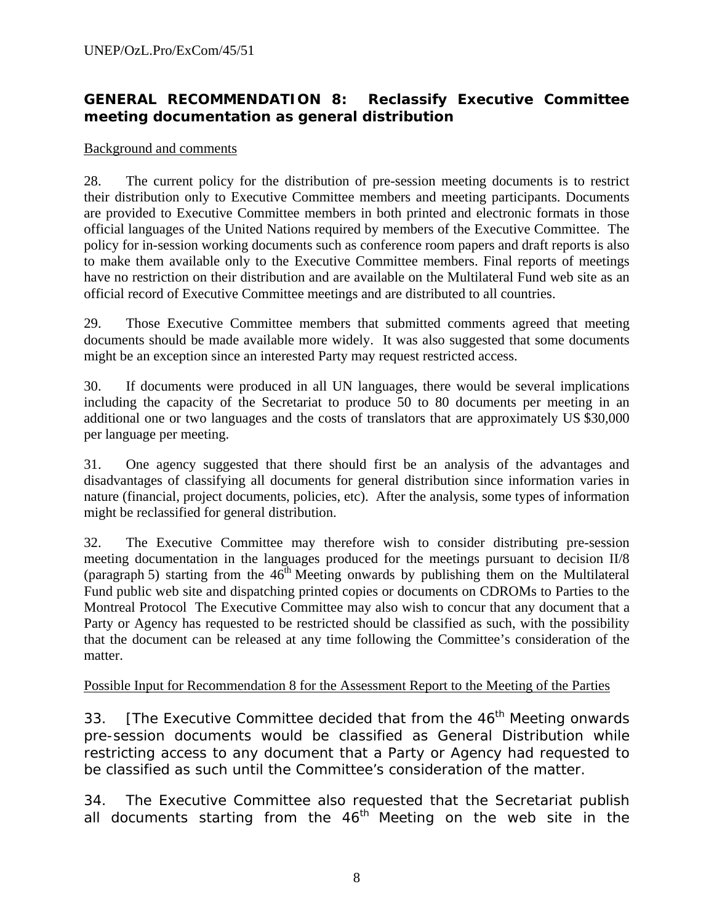# **GENERAL RECOMMENDATION 8: Reclassify Executive Committee meeting documentation as general distribution**

#### Background and comments

28. The current policy for the distribution of pre-session meeting documents is to restrict their distribution only to Executive Committee members and meeting participants. Documents are provided to Executive Committee members in both printed and electronic formats in those official languages of the United Nations required by members of the Executive Committee. The policy for in-session working documents such as conference room papers and draft reports is also to make them available only to the Executive Committee members. Final reports of meetings have no restriction on their distribution and are available on the Multilateral Fund web site as an official record of Executive Committee meetings and are distributed to all countries.

29. Those Executive Committee members that submitted comments agreed that meeting documents should be made available more widely. It was also suggested that some documents might be an exception since an interested Party may request restricted access.

30. If documents were produced in all UN languages, there would be several implications including the capacity of the Secretariat to produce 50 to 80 documents per meeting in an additional one or two languages and the costs of translators that are approximately US \$30,000 per language per meeting.

31. One agency suggested that there should first be an analysis of the advantages and disadvantages of classifying all documents for general distribution since information varies in nature (financial, project documents, policies, etc). After the analysis, some types of information might be reclassified for general distribution.

32. The Executive Committee may therefore wish to consider distributing pre-session meeting documentation in the languages produced for the meetings pursuant to decision II/8 (paragraph 5) starting from the  $46<sup>th</sup>$  Meeting onwards by publishing them on the Multilateral Fund public web site and dispatching printed copies or documents on CDROMs to Parties to the Montreal Protocol The Executive Committee may also wish to concur that any document that a Party or Agency has requested to be restricted should be classified as such, with the possibility that the document can be released at any time following the Committee's consideration of the matter.

### Possible Input for Recommendation 8 for the Assessment Report to the Meeting of the Parties

33. [The Executive Committee decided that from the  $46<sup>th</sup>$  Meeting onwards pre-session documents would be classified as General Distribution while restricting access to any document that a Party or Agency had requested to be classified as such until the Committee's consideration of the matter.

34. The Executive Committee also requested that the Secretariat publish all documents starting from the  $46<sup>th</sup>$  Meeting on the web site in the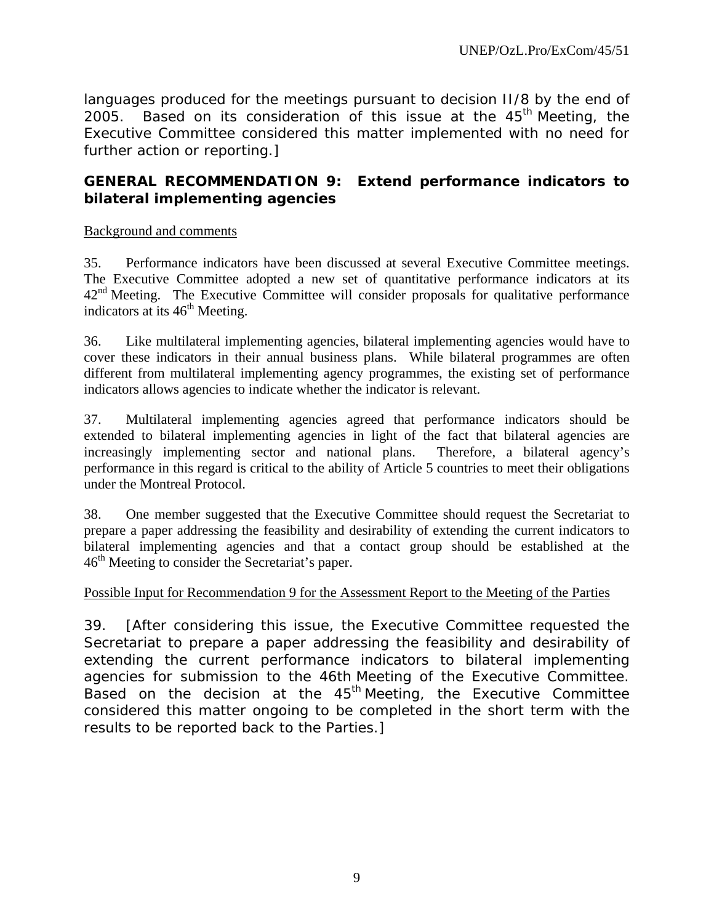languages produced for the meetings pursuant to decision II/8 by the end of 2005. Based on its consideration of this issue at the  $45<sup>th</sup>$  Meeting, the Executive Committee considered this matter implemented with no need for further action or reporting.]

### **GENERAL RECOMMENDATION 9: Extend performance indicators to bilateral implementing agencies**

### Background and comments

35. Performance indicators have been discussed at several Executive Committee meetings. The Executive Committee adopted a new set of quantitative performance indicators at its  $42<sup>nd</sup>$  Meeting. The Executive Committee will consider proposals for qualitative performance indicators at its  $46<sup>th</sup>$  Meeting.

36. Like multilateral implementing agencies, bilateral implementing agencies would have to cover these indicators in their annual business plans. While bilateral programmes are often different from multilateral implementing agency programmes, the existing set of performance indicators allows agencies to indicate whether the indicator is relevant.

37. Multilateral implementing agencies agreed that performance indicators should be extended to bilateral implementing agencies in light of the fact that bilateral agencies are increasingly implementing sector and national plans. Therefore, a bilateral agency's performance in this regard is critical to the ability of Article 5 countries to meet their obligations under the Montreal Protocol.

38. One member suggested that the Executive Committee should request the Secretariat to prepare a paper addressing the feasibility and desirability of extending the current indicators to bilateral implementing agencies and that a contact group should be established at the  $46<sup>th</sup>$  Meeting to consider the Secretariat's paper.

### Possible Input for Recommendation 9 for the Assessment Report to the Meeting of the Parties

39. [After considering this issue, the Executive Committee requested the Secretariat to prepare a paper addressing the feasibility and desirability of extending the current performance indicators to bilateral implementing agencies for submission to the 46th Meeting of the Executive Committee. Based on the decision at the  $45<sup>th</sup>$  Meeting, the Executive Committee considered this matter ongoing to be completed in the short term with the results to be reported back to the Parties.]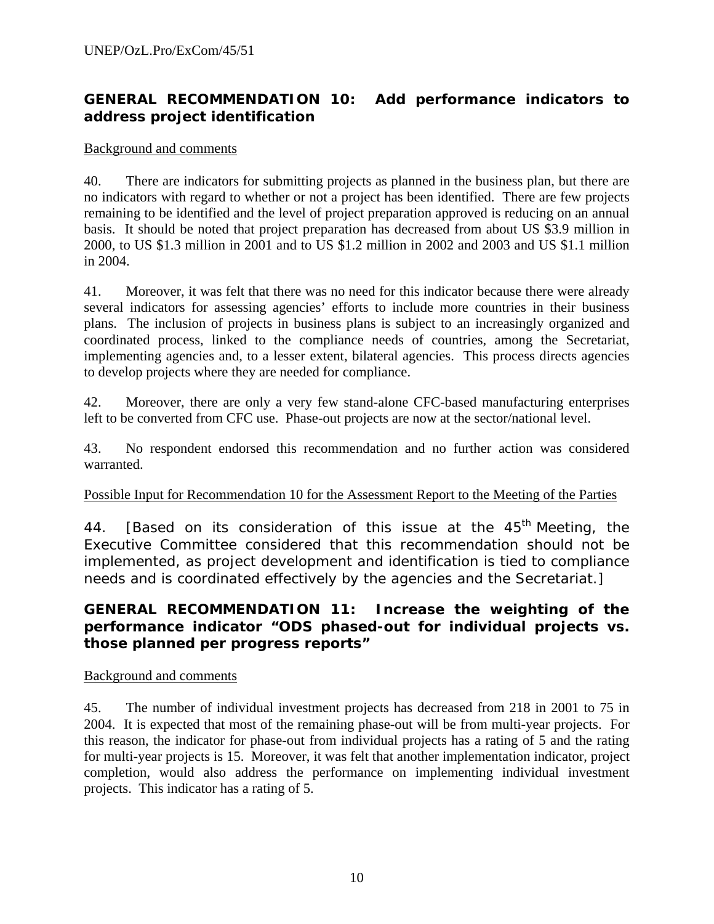# **GENERAL RECOMMENDATION 10: Add performance indicators to address project identification**

#### Background and comments

40. There are indicators for submitting projects as planned in the business plan, but there are no indicators with regard to whether or not a project has been identified. There are few projects remaining to be identified and the level of project preparation approved is reducing on an annual basis. It should be noted that project preparation has decreased from about US \$3.9 million in 2000, to US \$1.3 million in 2001 and to US \$1.2 million in 2002 and 2003 and US \$1.1 million in 2004.

41. Moreover, it was felt that there was no need for this indicator because there were already several indicators for assessing agencies' efforts to include more countries in their business plans. The inclusion of projects in business plans is subject to an increasingly organized and coordinated process, linked to the compliance needs of countries, among the Secretariat, implementing agencies and, to a lesser extent, bilateral agencies. This process directs agencies to develop projects where they are needed for compliance.

42. Moreover, there are only a very few stand-alone CFC-based manufacturing enterprises left to be converted from CFC use. Phase-out projects are now at the sector/national level.

43. No respondent endorsed this recommendation and no further action was considered warranted.

### Possible Input for Recommendation 10 for the Assessment Report to the Meeting of the Parties

44. [Based on its consideration of this issue at the 45<sup>th</sup> Meeting, the Executive Committee considered that this recommendation should not be implemented, as project development and identification is tied to compliance needs and is coordinated effectively by the agencies and the Secretariat.]

### **GENERAL RECOMMENDATION 11: Increase the weighting of the performance indicator "ODS phased-out for individual projects vs. those planned per progress reports"**

#### Background and comments

45. The number of individual investment projects has decreased from 218 in 2001 to 75 in 2004. It is expected that most of the remaining phase-out will be from multi-year projects. For this reason, the indicator for phase-out from individual projects has a rating of 5 and the rating for multi-year projects is 15. Moreover, it was felt that another implementation indicator, project completion, would also address the performance on implementing individual investment projects. This indicator has a rating of 5.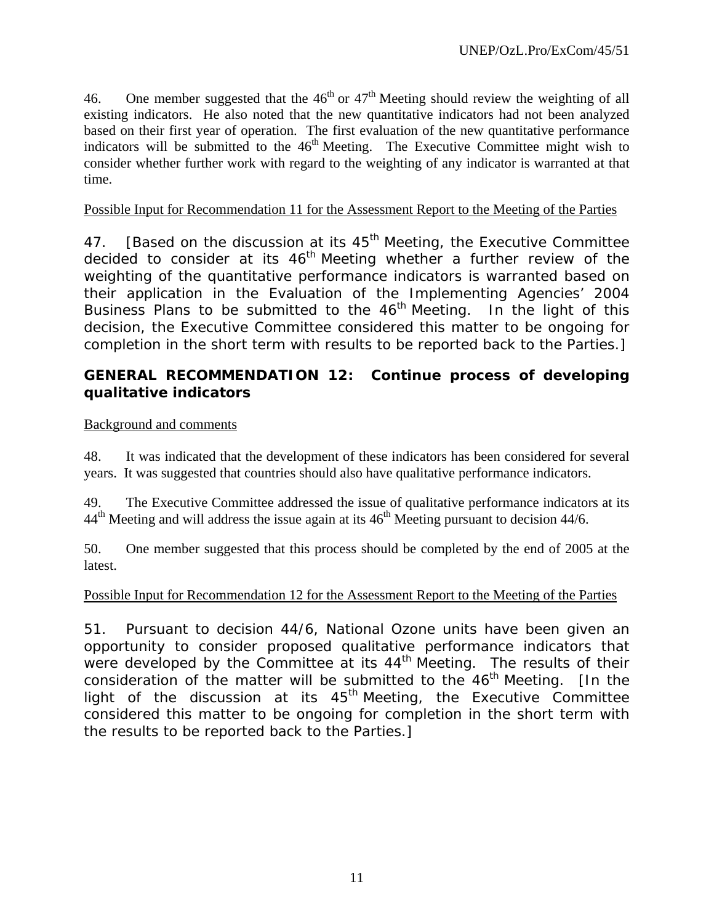46. One member suggested that the  $46<sup>th</sup>$  or  $47<sup>th</sup>$  Meeting should review the weighting of all existing indicators. He also noted that the new quantitative indicators had not been analyzed based on their first year of operation. The first evaluation of the new quantitative performance indicators will be submitted to the  $46<sup>th</sup>$  Meeting. The Executive Committee might wish to consider whether further work with regard to the weighting of any indicator is warranted at that time.

### Possible Input for Recommendation 11 for the Assessment Report to the Meeting of the Parties

47. [Based on the discussion at its  $45<sup>th</sup>$  Meeting, the Executive Committee decided to consider at its  $46<sup>th</sup>$  Meeting whether a further review of the weighting of the quantitative performance indicators is warranted based on their application in the Evaluation of the Implementing Agencies' 2004 Business Plans to be submitted to the  $46<sup>th</sup>$  Meeting. In the light of this decision, the Executive Committee considered this matter to be ongoing for completion in the short term with results to be reported back to the Parties.]

### **GENERAL RECOMMENDATION 12: Continue process of developing qualitative indicators**

### Background and comments

48. It was indicated that the development of these indicators has been considered for several years. It was suggested that countries should also have qualitative performance indicators.

49. The Executive Committee addressed the issue of qualitative performance indicators at its  $44<sup>th</sup>$  Meeting and will address the issue again at its  $46<sup>th</sup>$  Meeting pursuant to decision  $44/6$ .

50. One member suggested that this process should be completed by the end of 2005 at the latest.

### Possible Input for Recommendation 12 for the Assessment Report to the Meeting of the Parties

51. Pursuant to decision 44/6, National Ozone units have been given an opportunity to consider proposed qualitative performance indicators that were developed by the Committee at its  $44<sup>th</sup>$  Meeting. The results of their consideration of the matter will be submitted to the  $46<sup>th</sup>$  Meeting. [In the light of the discussion at its  $45<sup>th</sup>$  Meeting, the Executive Committee considered this matter to be ongoing for completion in the short term with the results to be reported back to the Parties.]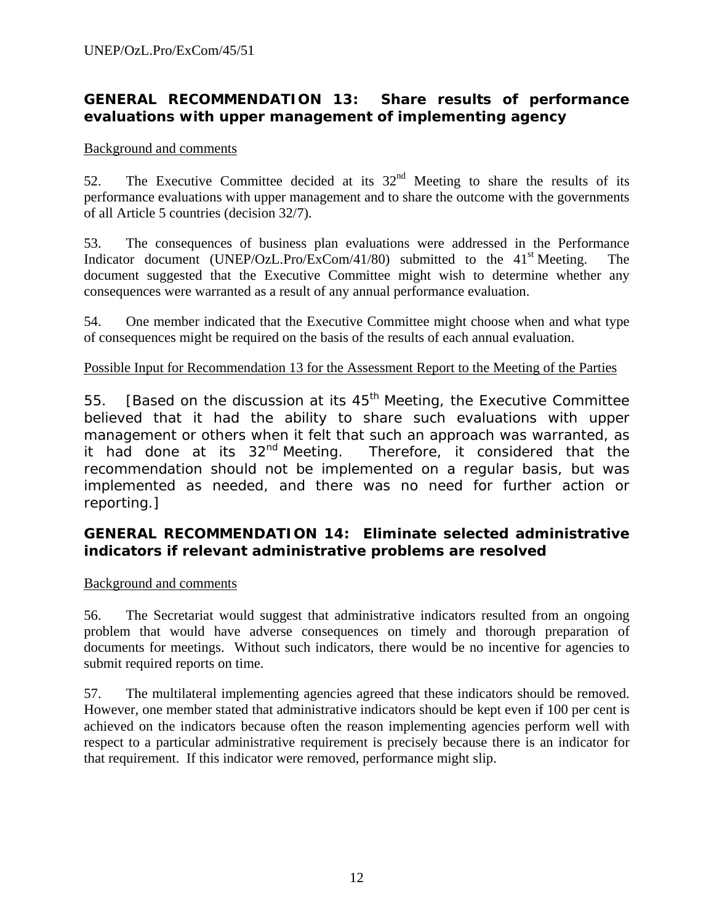### **GENERAL RECOMMENDATION 13: Share results of performance evaluations with upper management of implementing agency**

#### Background and comments

52. The Executive Committee decided at its  $32<sup>nd</sup>$  Meeting to share the results of its performance evaluations with upper management and to share the outcome with the governments of all Article 5 countries (decision 32/7).

53. The consequences of business plan evaluations were addressed in the Performance Indicator document (UNEP/OzL.Pro/ExCom/41/80) submitted to the  $41<sup>st</sup>$  Meeting. The document suggested that the Executive Committee might wish to determine whether any consequences were warranted as a result of any annual performance evaluation.

54. One member indicated that the Executive Committee might choose when and what type of consequences might be required on the basis of the results of each annual evaluation.

#### Possible Input for Recommendation 13 for the Assessment Report to the Meeting of the Parties

55. [Based on the discussion at its  $45<sup>th</sup>$  Meeting, the Executive Committee believed that it had the ability to share such evaluations with upper management or others when it felt that such an approach was warranted, as it had done at its 32<sup>nd</sup> Meeting. Therefore, it considered that the recommendation should not be implemented on a regular basis, but was implemented as needed, and there was no need for further action or reporting.]

### **GENERAL RECOMMENDATION 14: Eliminate selected administrative indicators if relevant administrative problems are resolved**

### Background and comments

56. The Secretariat would suggest that administrative indicators resulted from an ongoing problem that would have adverse consequences on timely and thorough preparation of documents for meetings. Without such indicators, there would be no incentive for agencies to submit required reports on time.

57. The multilateral implementing agencies agreed that these indicators should be removed. However, one member stated that administrative indicators should be kept even if 100 per cent is achieved on the indicators because often the reason implementing agencies perform well with respect to a particular administrative requirement is precisely because there is an indicator for that requirement. If this indicator were removed, performance might slip.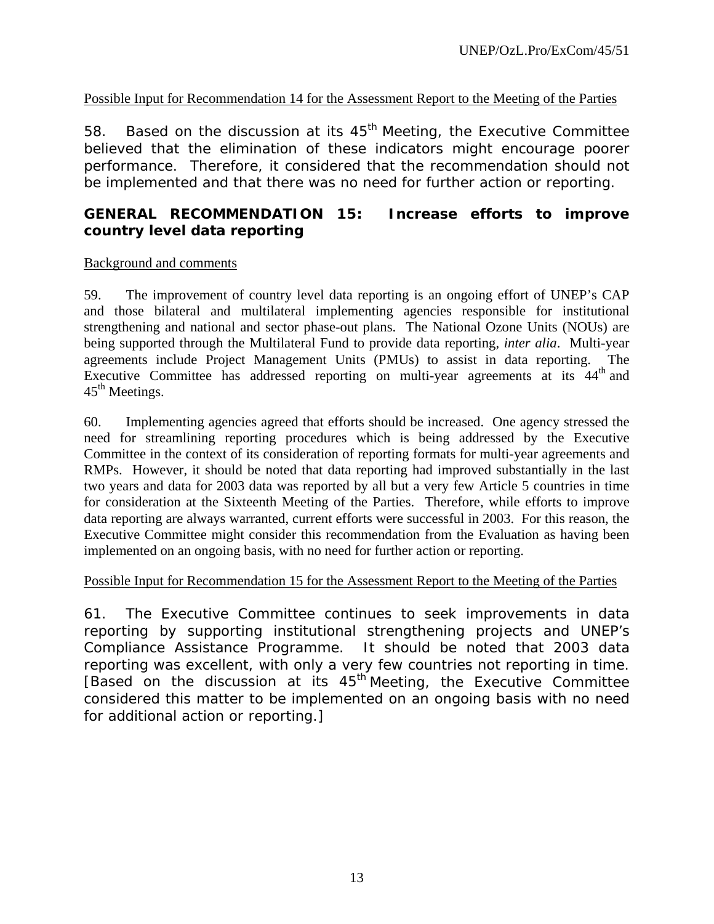### Possible Input for Recommendation 14 for the Assessment Report to the Meeting of the Parties

58. Based on the discussion at its  $45<sup>th</sup>$  Meeting, the Executive Committee believed that the elimination of these indicators might encourage poorer performance. Therefore, it considered that the recommendation should not be implemented and that there was no need for further action or reporting.

### **GENERAL RECOMMENDATION 15: Increase efforts to improve country level data reporting**

#### Background and comments

59. The improvement of country level data reporting is an ongoing effort of UNEP's CAP and those bilateral and multilateral implementing agencies responsible for institutional strengthening and national and sector phase-out plans. The National Ozone Units (NOUs) are being supported through the Multilateral Fund to provide data reporting, *inter alia*. Multi-year agreements include Project Management Units (PMUs) to assist in data reporting. The Executive Committee has addressed reporting on multi-year agreements at its  $44<sup>th</sup>$  and  $45<sup>th</sup>$  Meetings.

60. Implementing agencies agreed that efforts should be increased. One agency stressed the need for streamlining reporting procedures which is being addressed by the Executive Committee in the context of its consideration of reporting formats for multi-year agreements and RMPs. However, it should be noted that data reporting had improved substantially in the last two years and data for 2003 data was reported by all but a very few Article 5 countries in time for consideration at the Sixteenth Meeting of the Parties. Therefore, while efforts to improve data reporting are always warranted, current efforts were successful in 2003. For this reason, the Executive Committee might consider this recommendation from the Evaluation as having been implemented on an ongoing basis, with no need for further action or reporting.

#### Possible Input for Recommendation 15 for the Assessment Report to the Meeting of the Parties

61. The Executive Committee continues to seek improvements in data reporting by supporting institutional strengthening projects and UNEP's Compliance Assistance Programme. It should be noted that 2003 data reporting was excellent, with only a very few countries not reporting in time. [Based on the discussion at its 45<sup>th</sup> Meeting, the Executive Committee considered this matter to be implemented on an ongoing basis with no need for additional action or reporting.]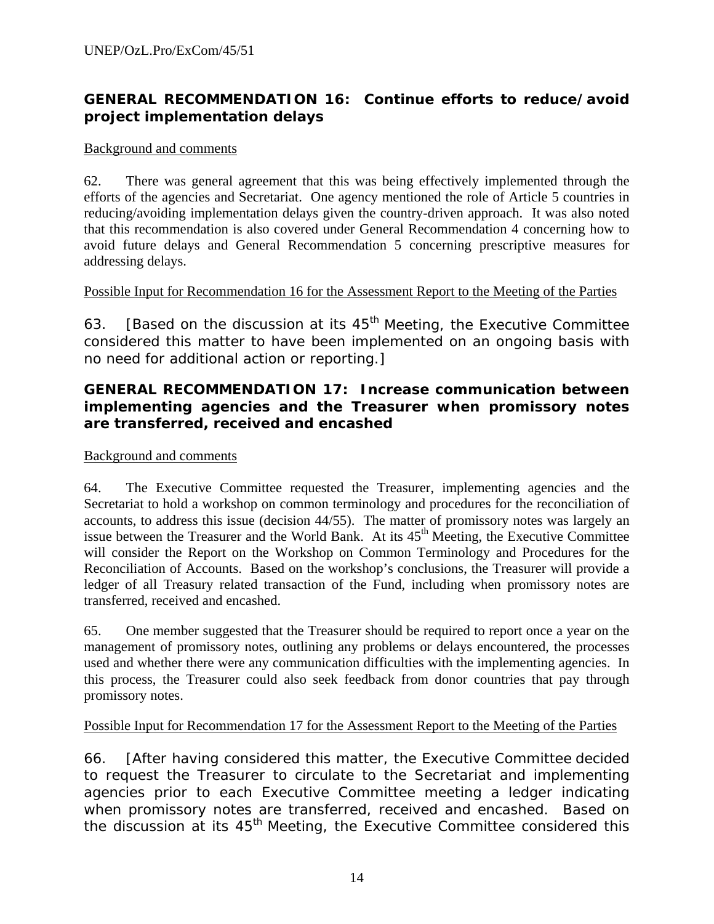# **GENERAL RECOMMENDATION 16: Continue efforts to reduce/avoid project implementation delays**

#### Background and comments

62. There was general agreement that this was being effectively implemented through the efforts of the agencies and Secretariat. One agency mentioned the role of Article 5 countries in reducing/avoiding implementation delays given the country-driven approach. It was also noted that this recommendation is also covered under General Recommendation 4 concerning how to avoid future delays and General Recommendation 5 concerning prescriptive measures for addressing delays.

#### Possible Input for Recommendation 16 for the Assessment Report to the Meeting of the Parties

63. [Based on the discussion at its  $45<sup>th</sup>$  Meeting, the Executive Committee considered this matter to have been implemented on an ongoing basis with no need for additional action or reporting.]

### **GENERAL RECOMMENDATION 17: Increase communication between implementing agencies and the Treasurer when promissory notes are transferred, received and encashed**

### Background and comments

64. The Executive Committee requested the Treasurer, implementing agencies and the Secretariat to hold a workshop on common terminology and procedures for the reconciliation of accounts, to address this issue (decision 44/55). The matter of promissory notes was largely an issue between the Treasurer and the World Bank. At its 45<sup>th</sup> Meeting, the Executive Committee will consider the Report on the Workshop on Common Terminology and Procedures for the Reconciliation of Accounts. Based on the workshop's conclusions, the Treasurer will provide a ledger of all Treasury related transaction of the Fund, including when promissory notes are transferred, received and encashed.

65. One member suggested that the Treasurer should be required to report once a year on the management of promissory notes, outlining any problems or delays encountered, the processes used and whether there were any communication difficulties with the implementing agencies. In this process, the Treasurer could also seek feedback from donor countries that pay through promissory notes.

### Possible Input for Recommendation 17 for the Assessment Report to the Meeting of the Parties

66. [After having considered this matter, the Executive Committee decided to request the Treasurer to circulate to the Secretariat and implementing agencies prior to each Executive Committee meeting a ledger indicating when promissory notes are transferred, received and encashed. Based on the discussion at its  $45<sup>th</sup>$  Meeting, the Executive Committee considered this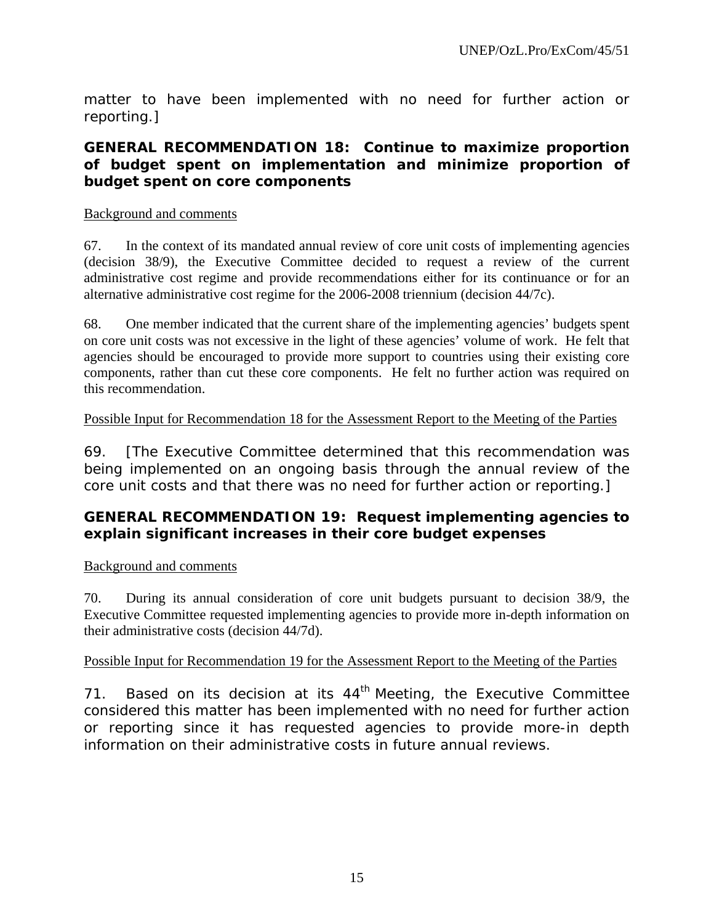matter to have been implemented with no need for further action or reporting.]

### **GENERAL RECOMMENDATION 18: Continue to maximize proportion of budget spent on implementation and minimize proportion of budget spent on core components**

#### Background and comments

67. In the context of its mandated annual review of core unit costs of implementing agencies (decision 38/9), the Executive Committee decided to request a review of the current administrative cost regime and provide recommendations either for its continuance or for an alternative administrative cost regime for the 2006-2008 triennium (decision 44/7c).

68. One member indicated that the current share of the implementing agencies' budgets spent on core unit costs was not excessive in the light of these agencies' volume of work. He felt that agencies should be encouraged to provide more support to countries using their existing core components, rather than cut these core components. He felt no further action was required on this recommendation.

### Possible Input for Recommendation 18 for the Assessment Report to the Meeting of the Parties

69. [The Executive Committee determined that this recommendation was being implemented on an ongoing basis through the annual review of the core unit costs and that there was no need for further action or reporting.]

### **GENERAL RECOMMENDATION 19: Request implementing agencies to explain significant increases in their core budget expenses**

### Background and comments

70. During its annual consideration of core unit budgets pursuant to decision 38/9, the Executive Committee requested implementing agencies to provide more in-depth information on their administrative costs (decision 44/7d).

#### Possible Input for Recommendation 19 for the Assessment Report to the Meeting of the Parties

71. Based on its decision at its  $44<sup>th</sup>$  Meeting, the Executive Committee considered this matter has been implemented with no need for further action or reporting since it has requested agencies to provide more-in depth information on their administrative costs in future annual reviews.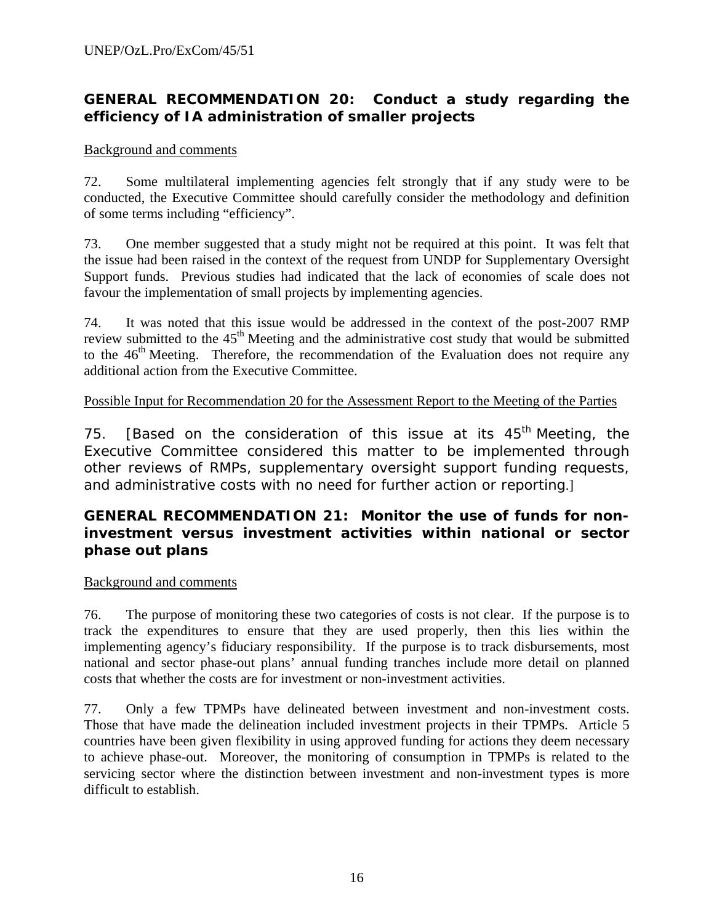# **GENERAL RECOMMENDATION 20: Conduct a study regarding the efficiency of IA administration of smaller projects**

#### Background and comments

72. Some multilateral implementing agencies felt strongly that if any study were to be conducted, the Executive Committee should carefully consider the methodology and definition of some terms including "efficiency".

73. One member suggested that a study might not be required at this point. It was felt that the issue had been raised in the context of the request from UNDP for Supplementary Oversight Support funds. Previous studies had indicated that the lack of economies of scale does not favour the implementation of small projects by implementing agencies.

74. It was noted that this issue would be addressed in the context of the post-2007 RMP review submitted to the 45<sup>th</sup> Meeting and the administrative cost study that would be submitted to the  $46<sup>th</sup>$  Meeting. Therefore, the recommendation of the Evaluation does not require any additional action from the Executive Committee.

### Possible Input for Recommendation 20 for the Assessment Report to the Meeting of the Parties

75. [Based on the consideration of this issue at its  $45<sup>th</sup>$  Meeting, the Executive Committee considered this matter to be implemented through other reviews of RMPs, supplementary oversight support funding requests, and administrative costs with no need for further action or reporting.]

#### **GENERAL RECOMMENDATION 21: Monitor the use of funds for noninvestment versus investment activities within national or sector phase out plans**

#### Background and comments

76. The purpose of monitoring these two categories of costs is not clear. If the purpose is to track the expenditures to ensure that they are used properly, then this lies within the implementing agency's fiduciary responsibility. If the purpose is to track disbursements, most national and sector phase-out plans' annual funding tranches include more detail on planned costs that whether the costs are for investment or non-investment activities.

77. Only a few TPMPs have delineated between investment and non-investment costs. Those that have made the delineation included investment projects in their TPMPs. Article 5 countries have been given flexibility in using approved funding for actions they deem necessary to achieve phase-out. Moreover, the monitoring of consumption in TPMPs is related to the servicing sector where the distinction between investment and non-investment types is more difficult to establish.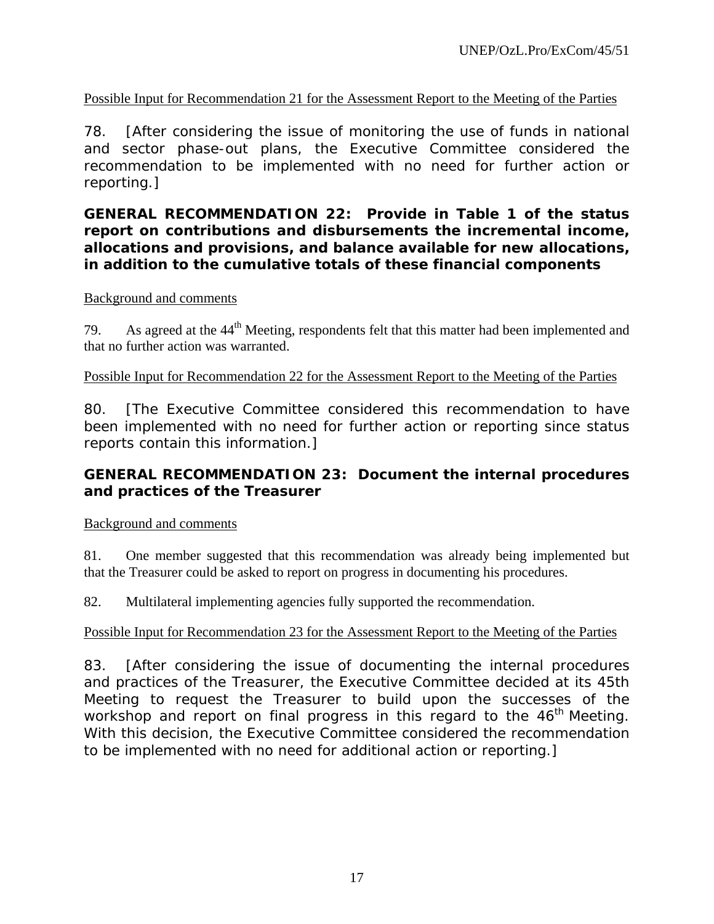### Possible Input for Recommendation 21 for the Assessment Report to the Meeting of the Parties

78. [After considering the issue of monitoring the use of funds in national and sector phase-out plans, the Executive Committee considered the recommendation to be implemented with no need for further action or reporting.]

**GENERAL RECOMMENDATION 22: Provide in Table 1 of the status report on contributions and disbursements the incremental income, allocations and provisions, and balance available for new allocations, in addition to the cumulative totals of these financial components** 

#### Background and comments

79. As agreed at the 44<sup>th</sup> Meeting, respondents felt that this matter had been implemented and that no further action was warranted.

#### Possible Input for Recommendation 22 for the Assessment Report to the Meeting of the Parties

80. [The Executive Committee considered this recommendation to have been implemented with no need for further action or reporting since status reports contain this information.]

### **GENERAL RECOMMENDATION 23: Document the internal procedures and practices of the Treasurer**

#### Background and comments

81. One member suggested that this recommendation was already being implemented but that the Treasurer could be asked to report on progress in documenting his procedures.

82. Multilateral implementing agencies fully supported the recommendation.

### Possible Input for Recommendation 23 for the Assessment Report to the Meeting of the Parties

83. [After considering the issue of documenting the internal procedures and practices of the Treasurer, the Executive Committee decided at its 45th Meeting to request the Treasurer to build upon the successes of the workshop and report on final progress in this regard to the  $46<sup>th</sup>$  Meeting. With this decision, the Executive Committee considered the recommendation to be implemented with no need for additional action or reporting.]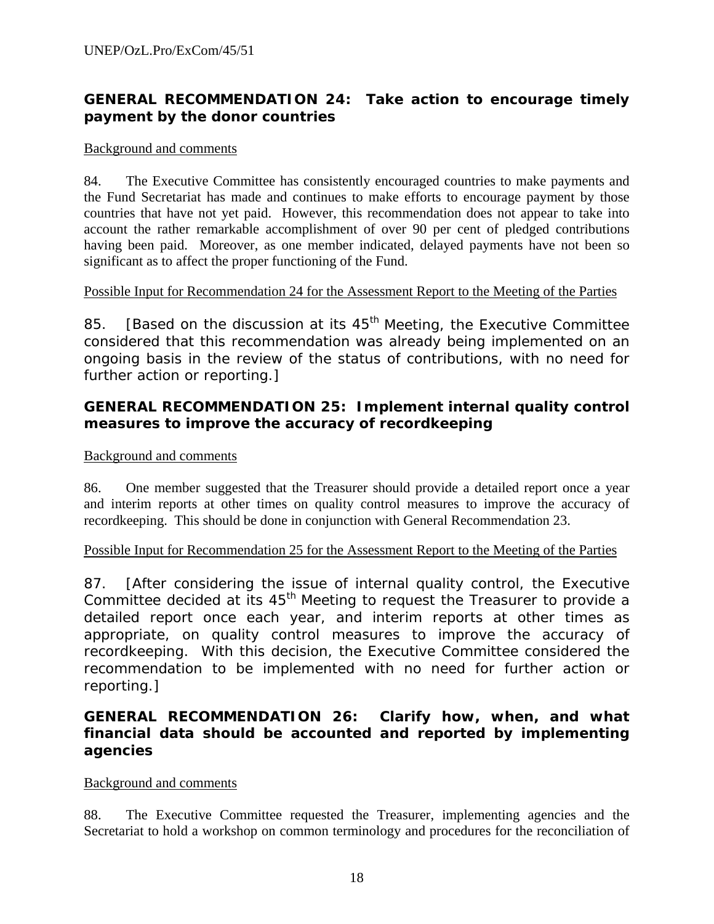# **GENERAL RECOMMENDATION 24: Take action to encourage timely payment by the donor countries**

#### Background and comments

84. The Executive Committee has consistently encouraged countries to make payments and the Fund Secretariat has made and continues to make efforts to encourage payment by those countries that have not yet paid. However, this recommendation does not appear to take into account the rather remarkable accomplishment of over 90 per cent of pledged contributions having been paid. Moreover, as one member indicated, delayed payments have not been so significant as to affect the proper functioning of the Fund.

### Possible Input for Recommendation 24 for the Assessment Report to the Meeting of the Parties

85. [Based on the discussion at its  $45<sup>th</sup>$  Meeting, the Executive Committee considered that this recommendation was already being implemented on an ongoing basis in the review of the status of contributions, with no need for further action or reporting.]

### **GENERAL RECOMMENDATION 25: Implement internal quality control measures to improve the accuracy of recordkeeping**

#### Background and comments

86. One member suggested that the Treasurer should provide a detailed report once a year and interim reports at other times on quality control measures to improve the accuracy of recordkeeping. This should be done in conjunction with General Recommendation 23.

#### Possible Input for Recommendation 25 for the Assessment Report to the Meeting of the Parties

87. [After considering the issue of internal quality control, the Executive Committee decided at its  $45<sup>th</sup>$  Meeting to request the Treasurer to provide a detailed report once each year, and interim reports at other times as appropriate, on quality control measures to improve the accuracy of recordkeeping. With this decision, the Executive Committee considered the recommendation to be implemented with no need for further action or reporting.]

### **GENERAL RECOMMENDATION 26: Clarify how, when, and what financial data should be accounted and reported by implementing agencies**

#### Background and comments

88. The Executive Committee requested the Treasurer, implementing agencies and the Secretariat to hold a workshop on common terminology and procedures for the reconciliation of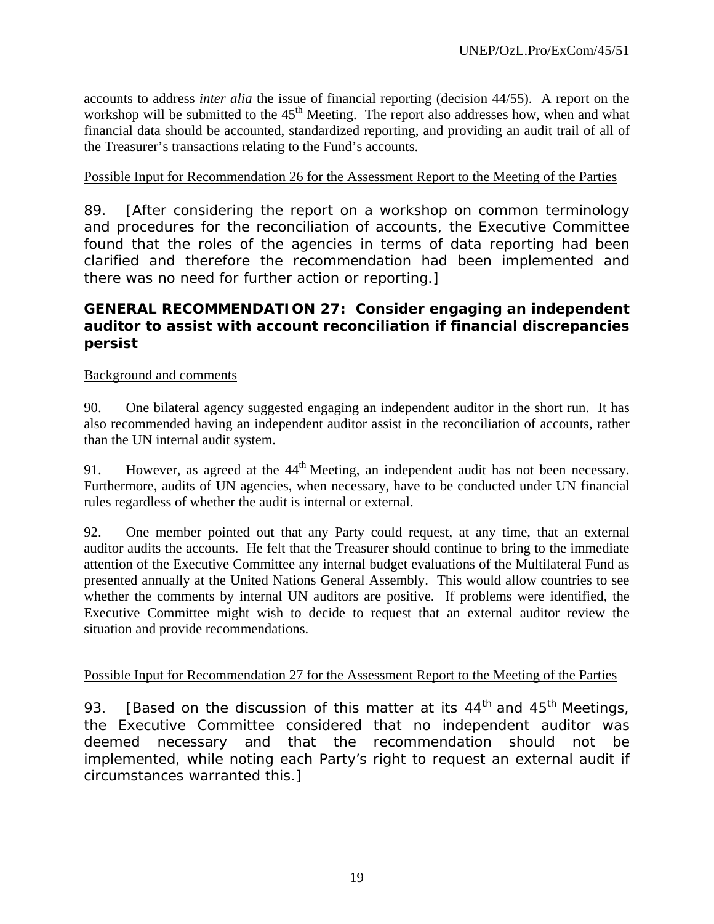accounts to address *inter alia* the issue of financial reporting (decision 44/55). A report on the workshop will be submitted to the  $45<sup>th</sup>$  Meeting. The report also addresses how, when and what financial data should be accounted, standardized reporting, and providing an audit trail of all of the Treasurer's transactions relating to the Fund's accounts.

### Possible Input for Recommendation 26 for the Assessment Report to the Meeting of the Parties

89. [After considering the report on a workshop on common terminology and procedures for the reconciliation of accounts, the Executive Committee found that the roles of the agencies in terms of data reporting had been clarified and therefore the recommendation had been implemented and there was no need for further action or reporting.]

### **GENERAL RECOMMENDATION 27: Consider engaging an independent auditor to assist with account reconciliation if financial discrepancies persist**

#### Background and comments

90. One bilateral agency suggested engaging an independent auditor in the short run. It has also recommended having an independent auditor assist in the reconciliation of accounts, rather than the UN internal audit system.

91. However, as agreed at the  $44<sup>th</sup>$  Meeting, an independent audit has not been necessary. Furthermore, audits of UN agencies, when necessary, have to be conducted under UN financial rules regardless of whether the audit is internal or external.

92. One member pointed out that any Party could request, at any time, that an external auditor audits the accounts. He felt that the Treasurer should continue to bring to the immediate attention of the Executive Committee any internal budget evaluations of the Multilateral Fund as presented annually at the United Nations General Assembly. This would allow countries to see whether the comments by internal UN auditors are positive. If problems were identified, the Executive Committee might wish to decide to request that an external auditor review the situation and provide recommendations.

#### Possible Input for Recommendation 27 for the Assessment Report to the Meeting of the Parties

93. [Based on the discussion of this matter at its  $44<sup>th</sup>$  and  $45<sup>th</sup>$  Meetings, the Executive Committee considered that no independent auditor was deemed necessary and that the recommendation should not be implemented, while noting each Party's right to request an external audit if circumstances warranted this.]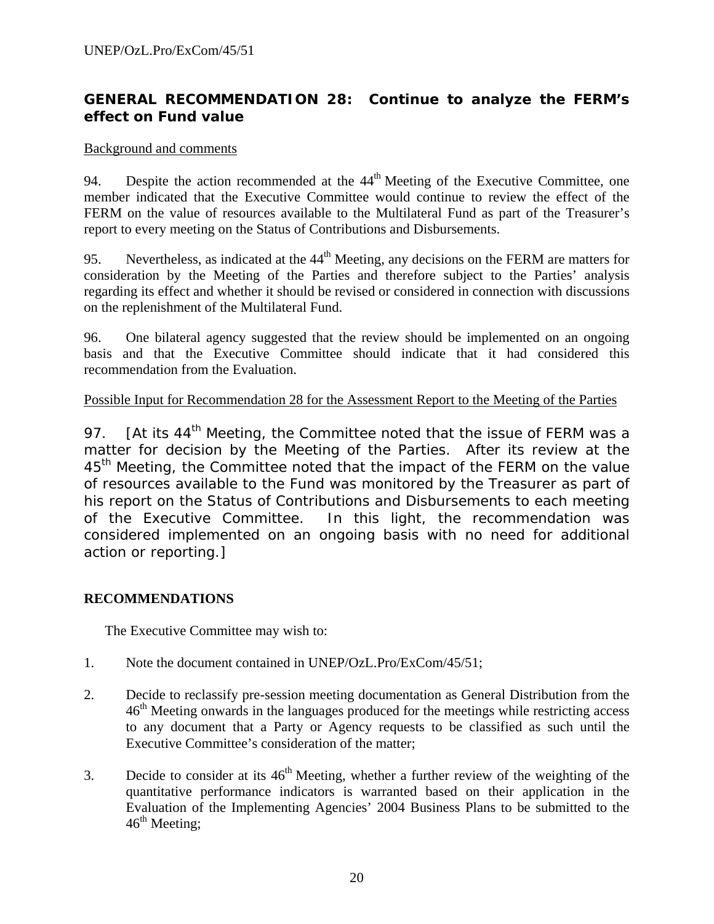### **GENERAL RECOMMENDATION 28: Continue to analyze the FERM's effect on Fund value**

#### Background and comments

94. Despite the action recommended at the  $44<sup>th</sup>$  Meeting of the Executive Committee, one member indicated that the Executive Committee would continue to review the effect of the FERM on the value of resources available to the Multilateral Fund as part of the Treasurer's report to every meeting on the Status of Contributions and Disbursements.

95. Nevertheless, as indicated at the  $44<sup>th</sup>$  Meeting, any decisions on the FERM are matters for consideration by the Meeting of the Parties and therefore subject to the Parties' analysis regarding its effect and whether it should be revised or considered in connection with discussions on the replenishment of the Multilateral Fund.

96. One bilateral agency suggested that the review should be implemented on an ongoing basis and that the Executive Committee should indicate that it had considered this recommendation from the Evaluation.

#### Possible Input for Recommendation 28 for the Assessment Report to the Meeting of the Parties

97. [At its 44<sup>th</sup> Meeting, the Committee noted that the issue of FERM was a matter for decision by the Meeting of the Parties. After its review at the 45<sup>th</sup> Meeting, the Committee noted that the impact of the FERM on the value of resources available to the Fund was monitored by the Treasurer as part of his report on the Status of Contributions and Disbursements to each meeting of the Executive Committee. In this light, the recommendation was considered implemented on an ongoing basis with no need for additional action or reporting.]

### **RECOMMENDATIONS**

The Executive Committee may wish to:

- 1. Note the document contained in UNEP/OzL.Pro/ExCom/45/51;
- 2. Decide to reclassify pre-session meeting documentation as General Distribution from the  $46<sup>th</sup>$  Meeting onwards in the languages produced for the meetings while restricting access to any document that a Party or Agency requests to be classified as such until the Executive Committee's consideration of the matter;
- 3. Decide to consider at its  $46<sup>th</sup>$  Meeting, whether a further review of the weighting of the quantitative performance indicators is warranted based on their application in the Evaluation of the Implementing Agencies' 2004 Business Plans to be submitted to the  $46<sup>th</sup>$  Meeting;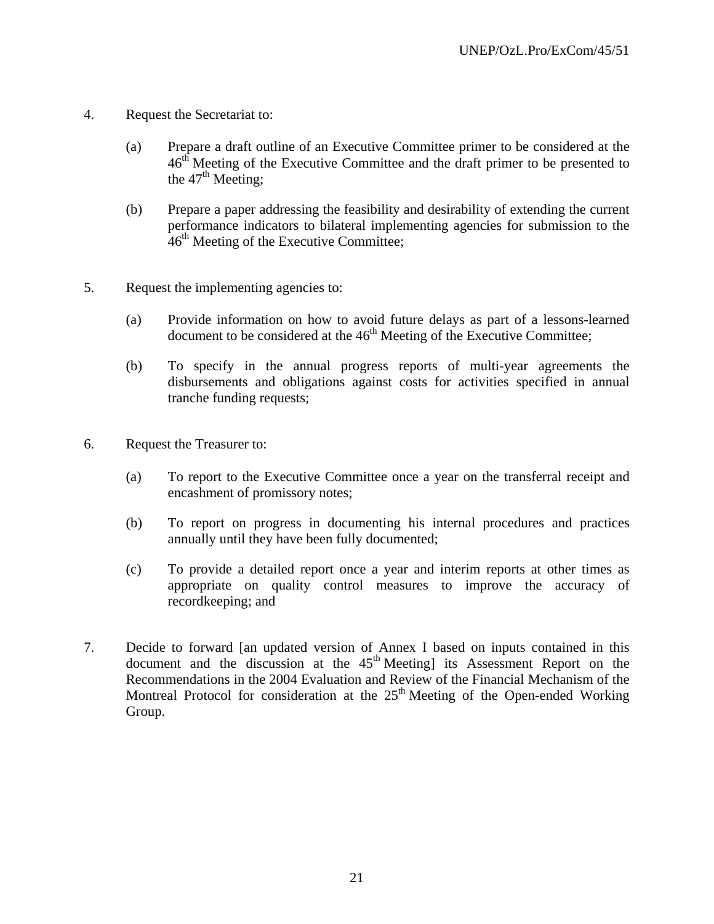- 4. Request the Secretariat to:
	- (a) Prepare a draft outline of an Executive Committee primer to be considered at the  $46<sup>th</sup>$  Meeting of the Executive Committee and the draft primer to be presented to the  $47<sup>th</sup>$  Meeting;
	- (b) Prepare a paper addressing the feasibility and desirability of extending the current performance indicators to bilateral implementing agencies for submission to the  $46<sup>th</sup>$  Meeting of the Executive Committee;
- 5. Request the implementing agencies to:
	- (a) Provide information on how to avoid future delays as part of a lessons-learned document to be considered at the  $46<sup>th</sup>$  Meeting of the Executive Committee;
	- (b) To specify in the annual progress reports of multi-year agreements the disbursements and obligations against costs for activities specified in annual tranche funding requests;
- 6. Request the Treasurer to:
	- (a) To report to the Executive Committee once a year on the transferral receipt and encashment of promissory notes;
	- (b) To report on progress in documenting his internal procedures and practices annually until they have been fully documented;
	- (c) To provide a detailed report once a year and interim reports at other times as appropriate on quality control measures to improve the accuracy of recordkeeping; and
- 7. Decide to forward [an updated version of Annex I based on inputs contained in this document and the discussion at the  $45<sup>th</sup>$  Meeting] its Assessment Report on the Recommendations in the 2004 Evaluation and Review of the Financial Mechanism of the Montreal Protocol for consideration at the  $25<sup>th</sup>$  Meeting of the Open-ended Working Group.